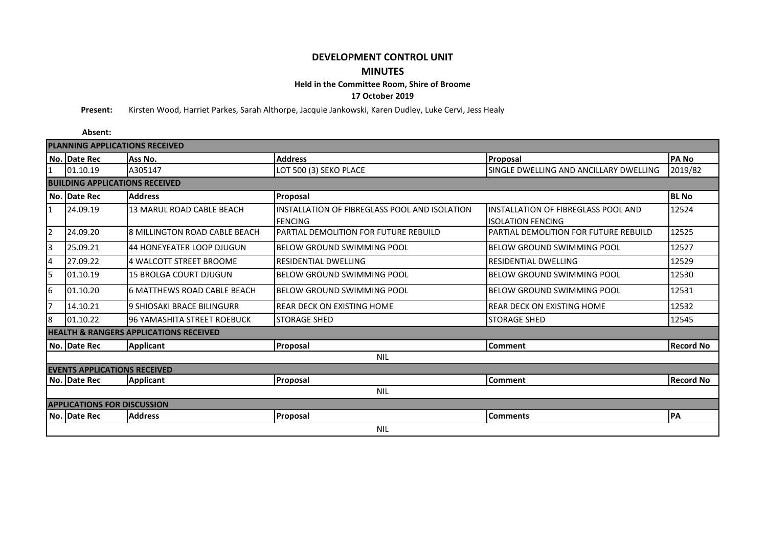## **DEVELOPMENT CONTROL UNIT MINUTES**

**Held in the Committee Room, Shire of Broome**

**17 October 2019**

**Present:** Kirsten Wood, Harriet Parkes, Sarah Althorpe, Jacquie Jankowski, Karen Dudley, Luke Cervi, Jess Healy

**Absent:**

| <b>PLANNING APPLICATIONS RECEIVED</b>             |                                     |                                      |                                                                 |                                                                 |                  |  |  |  |  |  |  |
|---------------------------------------------------|-------------------------------------|--------------------------------------|-----------------------------------------------------------------|-----------------------------------------------------------------|------------------|--|--|--|--|--|--|
|                                                   | No. Date Rec                        | Ass No.                              | <b>Address</b>                                                  | Proposal                                                        | <b>PANO</b>      |  |  |  |  |  |  |
| $\overline{1}$                                    | 01.10.19                            | A305147                              | LOT 500 (3) SEKO PLACE                                          | SINGLE DWELLING AND ANCILLARY DWELLING                          | 2019/82          |  |  |  |  |  |  |
| <b>BUILDING APPLICATIONS RECEIVED</b>             |                                     |                                      |                                                                 |                                                                 |                  |  |  |  |  |  |  |
|                                                   | No. Date Rec                        | <b>Address</b>                       | Proposal                                                        |                                                                 | <b>BL No</b>     |  |  |  |  |  |  |
| $\mathbf{1}$                                      | 24.09.19                            | <b>13 MARUL ROAD CABLE BEACH</b>     | INSTALLATION OF FIBREGLASS POOL AND ISOLATION<br><b>FENCING</b> | INSTALLATION OF FIBREGLASS POOL AND<br><b>ISOLATION FENCING</b> | 12524            |  |  |  |  |  |  |
| 2                                                 | 24.09.20                            | <b>8 MILLINGTON ROAD CABLE BEACH</b> | PARTIAL DEMOLITION FOR FUTURE REBUILD                           | PARTIAL DEMOLITION FOR FUTURE REBUILD                           | 12525            |  |  |  |  |  |  |
| 3                                                 | 25.09.21                            | 44 HONEYEATER LOOP DJUGUN            | IBELOW GROUND SWIMMING POOL                                     | <b>BELOW GROUND SWIMMING POOL</b>                               | 12527            |  |  |  |  |  |  |
| 4                                                 | 27.09.22                            | 4 WALCOTT STREET BROOME              | <b>RESIDENTIAL DWELLING</b>                                     | <b>RESIDENTIAL DWELLING</b>                                     | 12529            |  |  |  |  |  |  |
| 5                                                 | 01.10.19                            | <b>15 BROLGA COURT DJUGUN</b>        | <b>BELOW GROUND SWIMMING POOL</b>                               | <b>BELOW GROUND SWIMMING POOL</b>                               | 12530            |  |  |  |  |  |  |
| 6                                                 | 01.10.20                            | <b>6 MATTHEWS ROAD CABLE BEACH</b>   | IBELOW GROUND SWIMMING POOL                                     | <b>BELOW GROUND SWIMMING POOL</b>                               | 12531            |  |  |  |  |  |  |
| 7                                                 | 14.10.21                            | 9 SHIOSAKI BRACE BILINGURR           | REAR DECK ON EXISTING HOME                                      | <b>REAR DECK ON EXISTING HOME</b>                               | 12532            |  |  |  |  |  |  |
| 8                                                 | 01.10.22                            | 96 YAMASHITA STREET ROEBUCK          | <b>STORAGE SHED</b>                                             | <b>STORAGE SHED</b>                                             | 12545            |  |  |  |  |  |  |
| <b>HEALTH &amp; RANGERS APPLICATIONS RECEIVED</b> |                                     |                                      |                                                                 |                                                                 |                  |  |  |  |  |  |  |
|                                                   | No. Date Rec                        | <b>Applicant</b>                     | Proposal                                                        | <b>Comment</b>                                                  | <b>Record No</b> |  |  |  |  |  |  |
| <b>NIL</b>                                        |                                     |                                      |                                                                 |                                                                 |                  |  |  |  |  |  |  |
|                                                   | <b>EVENTS APPLICATIONS RECEIVED</b> |                                      |                                                                 |                                                                 |                  |  |  |  |  |  |  |
|                                                   | No. Date Rec                        | <b>Applicant</b>                     | Proposal                                                        | Comment                                                         | <b>Record No</b> |  |  |  |  |  |  |
| <b>NIL</b>                                        |                                     |                                      |                                                                 |                                                                 |                  |  |  |  |  |  |  |
| <b>APPLICATIONS FOR DISCUSSION</b>                |                                     |                                      |                                                                 |                                                                 |                  |  |  |  |  |  |  |
|                                                   | No. Date Rec                        | <b>Address</b>                       | Proposal                                                        | <b>Comments</b>                                                 | PA               |  |  |  |  |  |  |
|                                                   | <b>NIL</b>                          |                                      |                                                                 |                                                                 |                  |  |  |  |  |  |  |